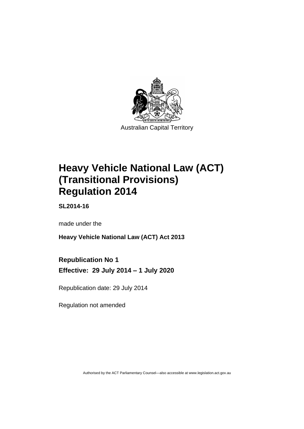

# **Heavy Vehicle National Law (ACT) (Transitional Provisions) Regulation 2014**

**SL2014-16**

made under the

**Heavy Vehicle National Law (ACT) Act 2013**

## **Republication No 1**

**Effective: 29 July 2014 – 1 July 2020**

Republication date: 29 July 2014

Regulation not amended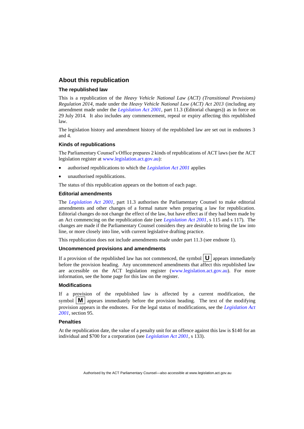### **About this republication**

#### **The republished law**

This is a republication of the *Heavy Vehicle National Law (ACT) (Transitional Provisions) Regulation 2014*, made under the *Heavy Vehicle National Law (ACT) Act 2013* (including any amendment made under the *[Legislation Act 2001](http://www.legislation.act.gov.au/a/2001-14)*, part 11.3 (Editorial changes)) as in force on 29 July 2014*.* It also includes any commencement, repeal or expiry affecting this republished law.

The legislation history and amendment history of the republished law are set out in endnotes 3 and 4.

#### **Kinds of republications**

The Parliamentary Counsel's Office prepares 2 kinds of republications of ACT laws (see the ACT legislation register at [www.legislation.act.gov.au\)](http://www.legislation.act.gov.au/):

- authorised republications to which the *[Legislation Act 2001](http://www.legislation.act.gov.au/a/2001-14)* applies
- unauthorised republications.

The status of this republication appears on the bottom of each page.

#### **Editorial amendments**

The *[Legislation Act 2001](http://www.legislation.act.gov.au/a/2001-14)*, part 11.3 authorises the Parliamentary Counsel to make editorial amendments and other changes of a formal nature when preparing a law for republication. Editorial changes do not change the effect of the law, but have effect as if they had been made by an Act commencing on the republication date (see *[Legislation Act 2001](http://www.legislation.act.gov.au/a/2001-14)*, s 115 and s 117). The changes are made if the Parliamentary Counsel considers they are desirable to bring the law into line, or more closely into line, with current legislative drafting practice.

This republication does not include amendments made under part 11.3 (see endnote 1).

#### **Uncommenced provisions and amendments**

If a provision of the republished law has not commenced, the symbol  $\mathbf{U}$  appears immediately before the provision heading. Any uncommenced amendments that affect this republished law are accessible on the ACT legislation register [\(www.legislation.act.gov.au\)](http://www.legislation.act.gov.au/). For more information, see the home page for this law on the register.

#### **Modifications**

If a provision of the republished law is affected by a current modification, the symbol  $\mathbf{M}$  appears immediately before the provision heading. The text of the modifying provision appears in the endnotes. For the legal status of modifications, see the *[Legislation Act](http://www.legislation.act.gov.au/a/2001-14)  [2001](http://www.legislation.act.gov.au/a/2001-14)*, section 95.

#### **Penalties**

At the republication date, the value of a penalty unit for an offence against this law is \$140 for an individual and \$700 for a corporation (see *[Legislation Act 2001](http://www.legislation.act.gov.au/a/2001-14)*, s 133).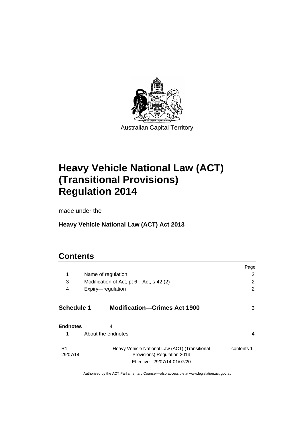

# **Heavy Vehicle National Law (ACT) (Transitional Provisions) Regulation 2014**

made under the

## **Heavy Vehicle National Law (ACT) Act 2013**

## **Contents**

|                            |                                                                                                               | Page       |
|----------------------------|---------------------------------------------------------------------------------------------------------------|------------|
| 1                          | Name of regulation                                                                                            | 2          |
| 3                          | Modification of Act, pt 6-Act, s 42 (2)                                                                       | 2          |
| 4                          | Expiry-regulation                                                                                             | 2          |
| Schedule 1                 | <b>Modification-Crimes Act 1900</b>                                                                           | 3          |
| <b>Endnotes</b>            | 4                                                                                                             |            |
| 1                          | About the endnotes                                                                                            | 4          |
| R <sub>1</sub><br>29/07/14 | Heavy Vehicle National Law (ACT) (Transitional<br>Provisions) Regulation 2014<br>Effective: 29/07/14-01/07/20 | contents 1 |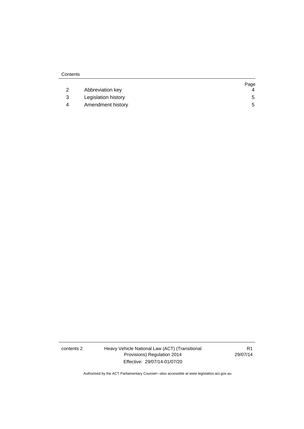| Contents |                     |      |
|----------|---------------------|------|
|          |                     | Page |
| 2        | Abbreviation key    | 4    |
| 3        | Legislation history | 5    |
| 4        | Amendment history   | 5    |

contents 2 Heavy Vehicle National Law (ACT) (Transitional Provisions) Regulation 2014 Effective: 29/07/14-01/07/20

R1 29/07/14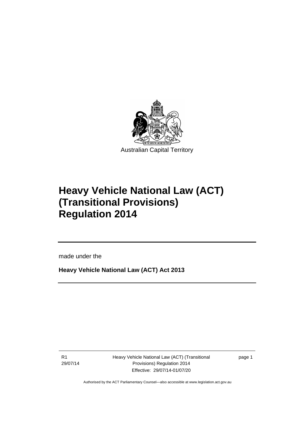

# **Heavy Vehicle National Law (ACT) (Transitional Provisions) Regulation 2014**

made under the

**Heavy Vehicle National Law (ACT) Act 2013**

R1 29/07/14

ֺ֝

Heavy Vehicle National Law (ACT) (Transitional Provisions) Regulation 2014 Effective: 29/07/14-01/07/20

page 1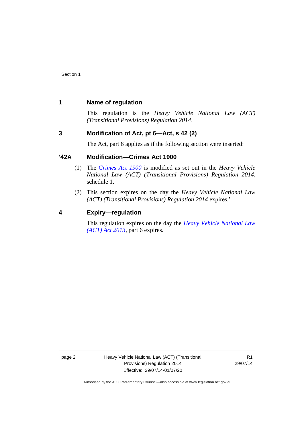### <span id="page-5-0"></span>**1 Name of regulation**

This regulation is the *Heavy Vehicle National Law (ACT) (Transitional Provisions) Regulation 2014*.

## <span id="page-5-1"></span>**3 Modification of Act, pt 6—Act, s 42 (2)**

The Act, part 6 applies as if the following section were inserted:

## **'42A Modification—Crimes Act 1900**

- (1) The *[Crimes Act 1900](http://www.legislation.act.gov.au/a/1900-40)* is modified as set out in the *Heavy Vehicle National Law (ACT) (Transitional Provisions) Regulation 2014*, schedule 1.
- (2) This section expires on the day the *Heavy Vehicle National Law (ACT) (Transitional Provisions) Regulation 2014* expires.'

### <span id="page-5-2"></span>**4 Expiry—regulation**

This regulation expires on the day the *[Heavy Vehicle National Law](http://www.legislation.act.gov.au/a/2013-51/default.asp)  [\(ACT\) Act 2013](http://www.legislation.act.gov.au/a/2013-51/default.asp)*, part 6 expires.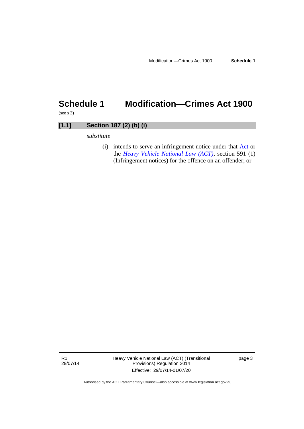# <span id="page-6-0"></span>**Schedule 1 Modification—Crimes Act 1900**

(see s 3)

## **[1.1] Section 187 (2) (b) (i)**

*substitute*

(i) intends to serve an infringement notice under that [Act o](http://www.legislation.act.gov.au/a/1999-77/)r the *[Heavy Vehicle National Law \(ACT\)](http://www.legislation.act.gov.au/a/db_49155/)*, section 591 (1) (Infringement notices) for the offence on an offender; or

R1 29/07/14 Heavy Vehicle National Law (ACT) (Transitional Provisions) Regulation 2014 Effective: 29/07/14-01/07/20

page 3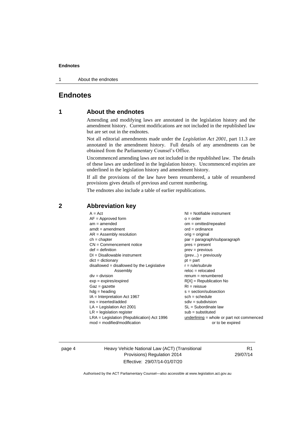#### **Endnotes**

1 About the endnotes

## <span id="page-7-1"></span><span id="page-7-0"></span>**Endnotes**

### **1 About the endnotes**

Amending and modifying laws are annotated in the legislation history and the amendment history. Current modifications are not included in the republished law but are set out in the endnotes.

Not all editorial amendments made under the *Legislation Act 2001*, part 11.3 are annotated in the amendment history. Full details of any amendments can be obtained from the Parliamentary Counsel's Office.

Uncommenced amending laws are not included in the republished law. The details of these laws are underlined in the legislation history. Uncommenced expiries are underlined in the legislation history and amendment history.

If all the provisions of the law have been renumbered, a table of renumbered provisions gives details of previous and current numbering.

The endnotes also include a table of earlier republications.

| $A = Act$<br>$AF =$ Approved form<br>$am = amended$<br>$amdt = amendment$<br>$AR = Assembly resolution$<br>$ch = chapter$<br>$CN =$ Commencement notice<br>$def = definition$<br>$DI = Disallowable instrument$<br>$dict = dictionary$<br>disallowed = disallowed by the Legislative<br>Assembly<br>$div = division$ | $NI =$ Notifiable instrument<br>$o = order$<br>$om = omitted/repealed$<br>$ord = ordinance$<br>$orig = original$<br>par = paragraph/subparagraph<br>pres = present<br>prev = previous<br>$(\text{prev}) = \text{previously}$<br>$pt = part$<br>$r = rule/subrule$<br>$reloc = relocated$ |
|----------------------------------------------------------------------------------------------------------------------------------------------------------------------------------------------------------------------------------------------------------------------------------------------------------------------|------------------------------------------------------------------------------------------------------------------------------------------------------------------------------------------------------------------------------------------------------------------------------------------|
|                                                                                                                                                                                                                                                                                                                      |                                                                                                                                                                                                                                                                                          |
|                                                                                                                                                                                                                                                                                                                      |                                                                                                                                                                                                                                                                                          |
|                                                                                                                                                                                                                                                                                                                      |                                                                                                                                                                                                                                                                                          |
|                                                                                                                                                                                                                                                                                                                      |                                                                                                                                                                                                                                                                                          |
|                                                                                                                                                                                                                                                                                                                      |                                                                                                                                                                                                                                                                                          |
|                                                                                                                                                                                                                                                                                                                      | $remum = renumbered$                                                                                                                                                                                                                                                                     |
| $exp = expires/expired$                                                                                                                                                                                                                                                                                              | $R[X]$ = Republication No                                                                                                                                                                                                                                                                |
| $Gaz = gazette$                                                                                                                                                                                                                                                                                                      | $RI =$ reissue                                                                                                                                                                                                                                                                           |
| $h dq =$ heading                                                                                                                                                                                                                                                                                                     | $s = section/subsection$                                                                                                                                                                                                                                                                 |
| $IA = Interpretation Act 1967$                                                                                                                                                                                                                                                                                       | $sch = schedule$                                                                                                                                                                                                                                                                         |
| $ins = inserted/added$                                                                                                                                                                                                                                                                                               | $sdiv = subdivision$                                                                                                                                                                                                                                                                     |
| $LA =$ Legislation Act 2001                                                                                                                                                                                                                                                                                          | $SL = Subordinate$ law                                                                                                                                                                                                                                                                   |
| $LR =$ legislation register                                                                                                                                                                                                                                                                                          | $sub =$ substituted                                                                                                                                                                                                                                                                      |
| $LRA =$ Legislation (Republication) Act 1996                                                                                                                                                                                                                                                                         | $underlining = whole or part not commenced$                                                                                                                                                                                                                                              |
| $mod = modified/modification$                                                                                                                                                                                                                                                                                        | or to be expired                                                                                                                                                                                                                                                                         |

### <span id="page-7-2"></span>**2 Abbreviation key**

page 4 Heavy Vehicle National Law (ACT) (Transitional Provisions) Regulation 2014 Effective: 29/07/14-01/07/20

R1 29/07/14